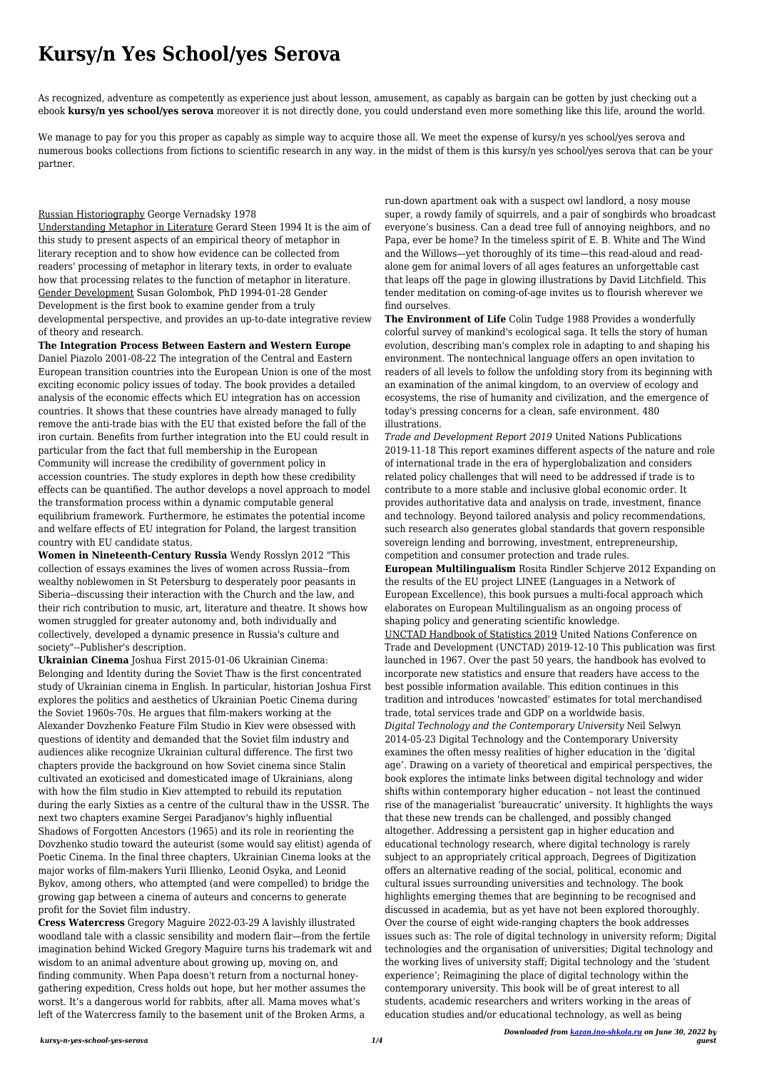## **Kursy/n Yes School/yes Serova**

As recognized, adventure as competently as experience just about lesson, amusement, as capably as bargain can be gotten by just checking out a ebook **kursy/n yes school/yes serova** moreover it is not directly done, you could understand even more something like this life, around the world.

We manage to pay for you this proper as capably as simple way to acquire those all. We meet the expense of kursy/n yes school/yes serova and numerous books collections from fictions to scientific research in any way. in the midst of them is this kursy/n yes school/yes serova that can be your partner.

## Russian Historiography George Vernadsky 1978

Understanding Metaphor in Literature Gerard Steen 1994 It is the aim of this study to present aspects of an empirical theory of metaphor in literary reception and to show how evidence can be collected from readers' processing of metaphor in literary texts, in order to evaluate how that processing relates to the function of metaphor in literature. Gender Development Susan Golombok, PhD 1994-01-28 Gender Development is the first book to examine gender from a truly developmental perspective, and provides an up-to-date integrative review of theory and research.

**The Integration Process Between Eastern and Western Europe** Daniel Piazolo 2001-08-22 The integration of the Central and Eastern European transition countries into the European Union is one of the most exciting economic policy issues of today. The book provides a detailed analysis of the economic effects which EU integration has on accession countries. It shows that these countries have already managed to fully remove the anti-trade bias with the EU that existed before the fall of the iron curtain. Benefits from further integration into the EU could result in particular from the fact that full membership in the European Community will increase the credibility of government policy in accession countries. The study explores in depth how these credibility effects can be quantified. The author develops a novel approach to model the transformation process within a dynamic computable general equilibrium framework. Furthermore, he estimates the potential income and welfare effects of EU integration for Poland, the largest transition country with EU candidate status.

**Women in Nineteenth-Century Russia** Wendy Rosslyn 2012 "This collection of essays examines the lives of women across Russia--from wealthy noblewomen in St Petersburg to desperately poor peasants in Siberia--discussing their interaction with the Church and the law, and their rich contribution to music, art, literature and theatre. It shows how women struggled for greater autonomy and, both individually and collectively, developed a dynamic presence in Russia's culture and society"--Publisher's description.

**Ukrainian Cinema** Joshua First 2015-01-06 Ukrainian Cinema: Belonging and Identity during the Soviet Thaw is the first concentrated study of Ukrainian cinema in English. In particular, historian Joshua First explores the politics and aesthetics of Ukrainian Poetic Cinema during the Soviet 1960s-70s. He argues that film-makers working at the Alexander Dovzhenko Feature Film Studio in Kiev were obsessed with questions of identity and demanded that the Soviet film industry and audiences alike recognize Ukrainian cultural difference. The first two chapters provide the background on how Soviet cinema since Stalin cultivated an exoticised and domesticated image of Ukrainians, along with how the film studio in Kiev attempted to rebuild its reputation during the early Sixties as a centre of the cultural thaw in the USSR. The next two chapters examine Sergei Paradjanov's highly influential Shadows of Forgotten Ancestors (1965) and its role in reorienting the Dovzhenko studio toward the auteurist (some would say elitist) agenda of Poetic Cinema. In the final three chapters, Ukrainian Cinema looks at the major works of film-makers Yurii Illienko, Leonid Osyka, and Leonid Bykov, among others, who attempted (and were compelled) to bridge the growing gap between a cinema of auteurs and concerns to generate profit for the Soviet film industry. **Cress Watercress** Gregory Maguire 2022-03-29 A lavishly illustrated woodland tale with a classic sensibility and modern flair—from the fertile imagination behind Wicked Gregory Maguire turns his trademark wit and wisdom to an animal adventure about growing up, moving on, and finding community. When Papa doesn't return from a nocturnal honeygathering expedition, Cress holds out hope, but her mother assumes the worst. It's a dangerous world for rabbits, after all. Mama moves what's left of the Watercress family to the basement unit of the Broken Arms, a

run-down apartment oak with a suspect owl landlord, a nosy mouse super, a rowdy family of squirrels, and a pair of songbirds who broadcast everyone's business. Can a dead tree full of annoying neighbors, and no Papa, ever be home? In the timeless spirit of E. B. White and The Wind and the Willows—yet thoroughly of its time—this read-aloud and readalone gem for animal lovers of all ages features an unforgettable cast that leaps off the page in glowing illustrations by David Litchfield. This tender meditation on coming-of-age invites us to flourish wherever we find ourselves.

**The Environment of Life** Colin Tudge 1988 Provides a wonderfully colorful survey of mankind's ecological saga. It tells the story of human evolution, describing man's complex role in adapting to and shaping his environment. The nontechnical language offers an open invitation to readers of all levels to follow the unfolding story from its beginning with an examination of the animal kingdom, to an overview of ecology and ecosystems, the rise of humanity and civilization, and the emergence of today's pressing concerns for a clean, safe environment. 480 illustrations.

*Trade and Development Report 2019* United Nations Publications 2019-11-18 This report examines different aspects of the nature and role of international trade in the era of hyperglobalization and considers related policy challenges that will need to be addressed if trade is to contribute to a more stable and inclusive global economic order. It provides authoritative data and analysis on trade, investment, finance and technology. Beyond tailored analysis and policy recommendations, such research also generates global standards that govern responsible sovereign lending and borrowing, investment, entrepreneurship, competition and consumer protection and trade rules.

**European Multilingualism** Rosita Rindler Schjerve 2012 Expanding on the results of the EU project LINEE (Languages in a Network of European Excellence), this book pursues a multi-focal approach which elaborates on European Multilingualism as an ongoing process of shaping policy and generating scientific knowledge.

UNCTAD Handbook of Statistics 2019 United Nations Conference on Trade and Development (UNCTAD) 2019-12-10 This publication was first launched in 1967. Over the past 50 years, the handbook has evolved to incorporate new statistics and ensure that readers have access to the best possible information available. This edition continues in this tradition and introduces 'nowcasted' estimates for total merchandised trade, total services trade and GDP on a worldwide basis. *Digital Technology and the Contemporary University* Neil Selwyn 2014-05-23 Digital Technology and the Contemporary University examines the often messy realities of higher education in the 'digital age'. Drawing on a variety of theoretical and empirical perspectives, the book explores the intimate links between digital technology and wider shifts within contemporary higher education – not least the continued rise of the managerialist 'bureaucratic' university. It highlights the ways that these new trends can be challenged, and possibly changed altogether. Addressing a persistent gap in higher education and educational technology research, where digital technology is rarely subject to an appropriately critical approach, Degrees of Digitization offers an alternative reading of the social, political, economic and cultural issues surrounding universities and technology. The book highlights emerging themes that are beginning to be recognised and discussed in academia, but as yet have not been explored thoroughly. Over the course of eight wide-ranging chapters the book addresses issues such as: The role of digital technology in university reform; Digital technologies and the organisation of universities; Digital technology and the working lives of university staff; Digital technology and the 'student experience'; Reimagining the place of digital technology within the contemporary university. This book will be of great interest to all students, academic researchers and writers working in the areas of education studies and/or educational technology, as well as being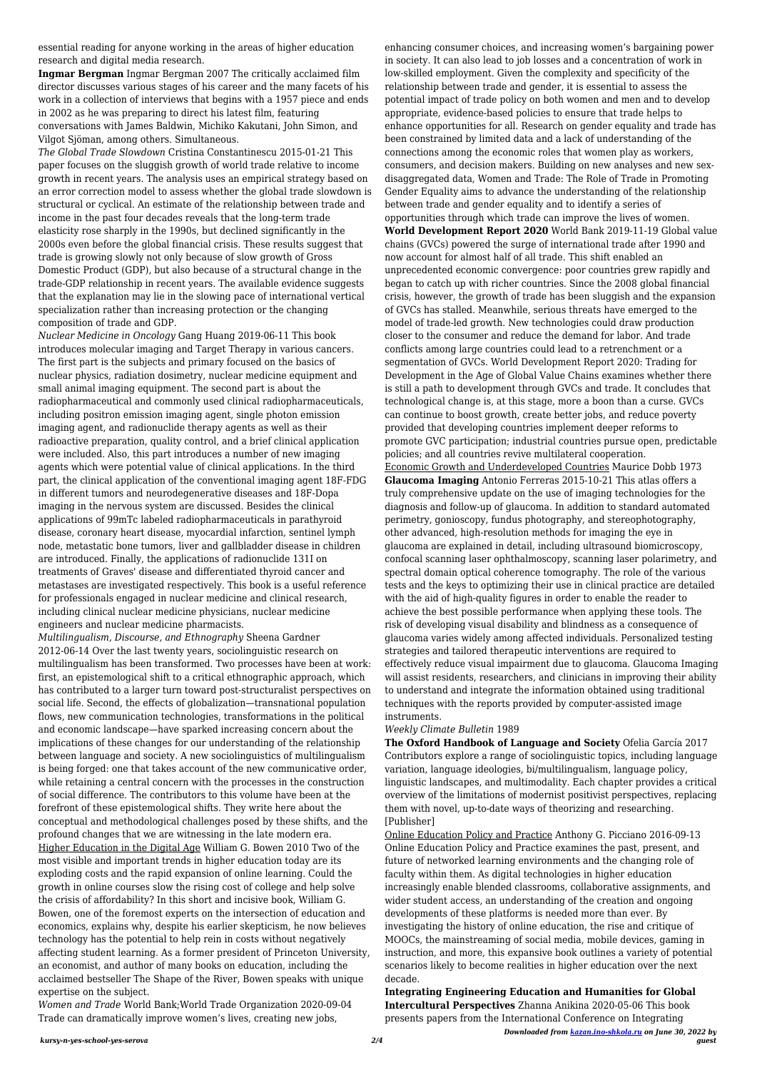*kursy-n-yes-school-yes-serova 2/4*

*Downloaded from [kazan.ino-shkola.ru](http://kazan.ino-shkola.ru) on June 30, 2022 by guest*

essential reading for anyone working in the areas of higher education research and digital media research.

**Ingmar Bergman** Ingmar Bergman 2007 The critically acclaimed film director discusses various stages of his career and the many facets of his work in a collection of interviews that begins with a 1957 piece and ends in 2002 as he was preparing to direct his latest film, featuring conversations with James Baldwin, Michiko Kakutani, John Simon, and Vilgot Sjöman, among others. Simultaneous.

*The Global Trade Slowdown* Cristina Constantinescu 2015-01-21 This paper focuses on the sluggish growth of world trade relative to income growth in recent years. The analysis uses an empirical strategy based on an error correction model to assess whether the global trade slowdown is structural or cyclical. An estimate of the relationship between trade and income in the past four decades reveals that the long-term trade elasticity rose sharply in the 1990s, but declined significantly in the 2000s even before the global financial crisis. These results suggest that trade is growing slowly not only because of slow growth of Gross Domestic Product (GDP), but also because of a structural change in the trade-GDP relationship in recent years. The available evidence suggests that the explanation may lie in the slowing pace of international vertical specialization rather than increasing protection or the changing composition of trade and GDP.

*Nuclear Medicine in Oncology* Gang Huang 2019-06-11 This book introduces molecular imaging and Target Therapy in various cancers. The first part is the subjects and primary focused on the basics of nuclear physics, radiation dosimetry, nuclear medicine equipment and small animal imaging equipment. The second part is about the radiopharmaceutical and commonly used clinical radiopharmaceuticals, including positron emission imaging agent, single photon emission imaging agent, and radionuclide therapy agents as well as their radioactive preparation, quality control, and a brief clinical application were included. Also, this part introduces a number of new imaging agents which were potential value of clinical applications. In the third part, the clinical application of the conventional imaging agent 18F-FDG in different tumors and neurodegenerative diseases and 18F-Dopa imaging in the nervous system are discussed. Besides the clinical applications of 99mTc labeled radiopharmaceuticals in parathyroid disease, coronary heart disease, myocardial infarction, sentinel lymph node, metastatic bone tumors, liver and gallbladder disease in children are introduced. Finally, the applications of radionuclide 131I on treatments of Graves' disease and differentiated thyroid cancer and metastases are investigated respectively. This book is a useful reference for professionals engaged in nuclear medicine and clinical research, including clinical nuclear medicine physicians, nuclear medicine engineers and nuclear medicine pharmacists.

*Multilingualism, Discourse, and Ethnography* Sheena Gardner 2012-06-14 Over the last twenty years, sociolinguistic research on multilingualism has been transformed. Two processes have been at work: first, an epistemological shift to a critical ethnographic approach, which has contributed to a larger turn toward post-structuralist perspectives on social life. Second, the effects of globalization—transnational population flows, new communication technologies, transformations in the political and economic landscape—have sparked increasing concern about the implications of these changes for our understanding of the relationship between language and society. A new sociolinguistics of multilingualism is being forged: one that takes account of the new communicative order, while retaining a central concern with the processes in the construction of social difference. The contributors to this volume have been at the forefront of these epistemological shifts. They write here about the conceptual and methodological challenges posed by these shifts, and the profound changes that we are witnessing in the late modern era. Higher Education in the Digital Age William G. Bowen 2010 Two of the most visible and important trends in higher education today are its exploding costs and the rapid expansion of online learning. Could the growth in online courses slow the rising cost of college and help solve the crisis of affordability? In this short and incisive book, William G. Bowen, one of the foremost experts on the intersection of education and economics, explains why, despite his earlier skepticism, he now believes technology has the potential to help rein in costs without negatively affecting student learning. As a former president of Princeton University, an economist, and author of many books on education, including the acclaimed bestseller The Shape of the River, Bowen speaks with unique expertise on the subject.

*Women and Trade* World Bank;World Trade Organization 2020-09-04 Trade can dramatically improve women's lives, creating new jobs,

enhancing consumer choices, and increasing women's bargaining power in society. It can also lead to job losses and a concentration of work in low-skilled employment. Given the complexity and specificity of the relationship between trade and gender, it is essential to assess the potential impact of trade policy on both women and men and to develop appropriate, evidence-based policies to ensure that trade helps to enhance opportunities for all. Research on gender equality and trade has been constrained by limited data and a lack of understanding of the connections among the economic roles that women play as workers, consumers, and decision makers. Building on new analyses and new sexdisaggregated data, Women and Trade: The Role of Trade in Promoting Gender Equality aims to advance the understanding of the relationship between trade and gender equality and to identify a series of opportunities through which trade can improve the lives of women. **World Development Report 2020** World Bank 2019-11-19 Global value chains (GVCs) powered the surge of international trade after 1990 and now account for almost half of all trade. This shift enabled an unprecedented economic convergence: poor countries grew rapidly and began to catch up with richer countries. Since the 2008 global financial crisis, however, the growth of trade has been sluggish and the expansion of GVCs has stalled. Meanwhile, serious threats have emerged to the model of trade-led growth. New technologies could draw production closer to the consumer and reduce the demand for labor. And trade conflicts among large countries could lead to a retrenchment or a segmentation of GVCs. World Development Report 2020: Trading for Development in the Age of Global Value Chains examines whether there is still a path to development through GVCs and trade. It concludes that technological change is, at this stage, more a boon than a curse. GVCs can continue to boost growth, create better jobs, and reduce poverty provided that developing countries implement deeper reforms to promote GVC participation; industrial countries pursue open, predictable policies; and all countries revive multilateral cooperation. Economic Growth and Underdeveloped Countries Maurice Dobb 1973 **Glaucoma Imaging** Antonio Ferreras 2015-10-21 This atlas offers a truly comprehensive update on the use of imaging technologies for the diagnosis and follow-up of glaucoma. In addition to standard automated perimetry, gonioscopy, fundus photography, and stereophotography, other advanced, high-resolution methods for imaging the eye in glaucoma are explained in detail, including ultrasound biomicroscopy, confocal scanning laser ophthalmoscopy, scanning laser polarimetry, and spectral domain optical coherence tomography. The role of the various tests and the keys to optimizing their use in clinical practice are detailed with the aid of high-quality figures in order to enable the reader to achieve the best possible performance when applying these tools. The risk of developing visual disability and blindness as a consequence of glaucoma varies widely among affected individuals. Personalized testing strategies and tailored therapeutic interventions are required to effectively reduce visual impairment due to glaucoma. Glaucoma Imaging will assist residents, researchers, and clinicians in improving their ability to understand and integrate the information obtained using traditional techniques with the reports provided by computer-assisted image

instruments.

## *Weekly Climate Bulletin* 1989

**The Oxford Handbook of Language and Society** Ofelia García 2017 Contributors explore a range of sociolinguistic topics, including language variation, language ideologies, bi/multilingualism, language policy, linguistic landscapes, and multimodality. Each chapter provides a critical overview of the limitations of modernist positivist perspectives, replacing them with novel, up-to-date ways of theorizing and researching. [Publisher] Online Education Policy and Practice Anthony G. Picciano 2016-09-13 Online Education Policy and Practice examines the past, present, and future of networked learning environments and the changing role of faculty within them. As digital technologies in higher education increasingly enable blended classrooms, collaborative assignments, and wider student access, an understanding of the creation and ongoing developments of these platforms is needed more than ever. By investigating the history of online education, the rise and critique of MOOCs, the mainstreaming of social media, mobile devices, gaming in instruction, and more, this expansive book outlines a variety of potential scenarios likely to become realities in higher education over the next decade.

**Integrating Engineering Education and Humanities for Global Intercultural Perspectives** Zhanna Anikina 2020-05-06 This book presents papers from the International Conference on Integrating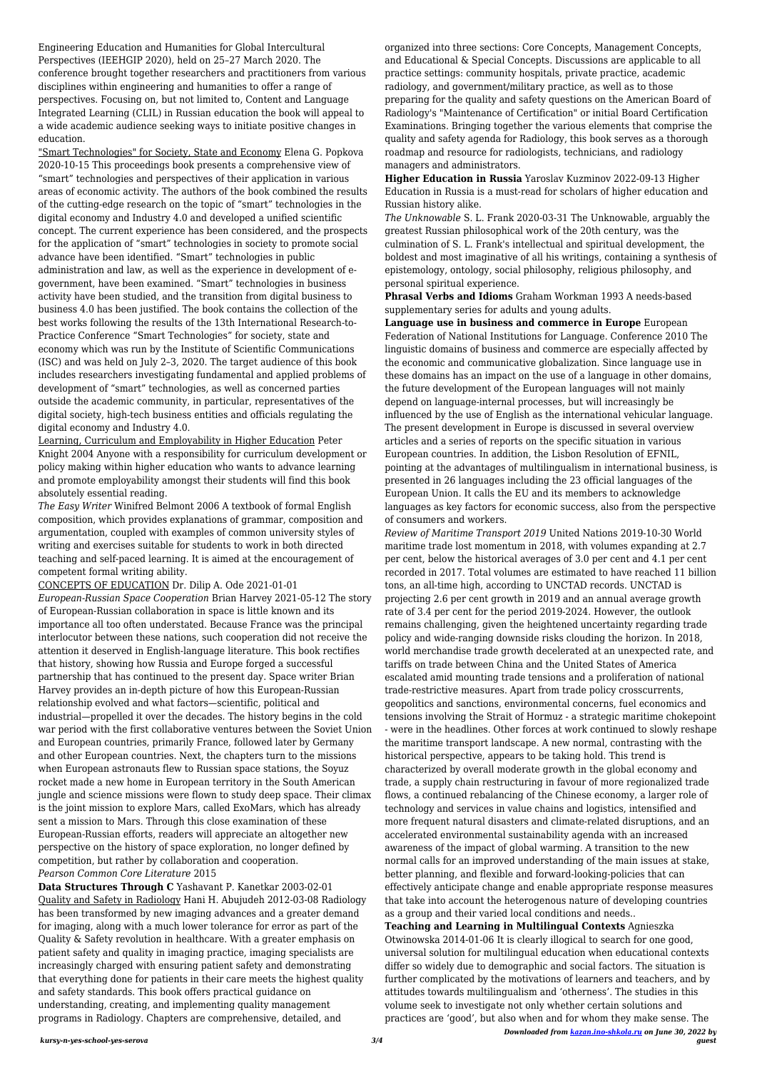*kursy-n-yes-school-yes-serova 3/4*

Engineering Education and Humanities for Global Intercultural Perspectives (IEEHGIP 2020), held on 25–27 March 2020. The conference brought together researchers and practitioners from various disciplines within engineering and humanities to offer a range of perspectives. Focusing on, but not limited to, Content and Language Integrated Learning (CLIL) in Russian education the book will appeal to a wide academic audience seeking ways to initiate positive changes in education.

"Smart Technologies" for Society, State and Economy Elena G. Popkova 2020-10-15 This proceedings book presents a comprehensive view of "smart" technologies and perspectives of their application in various areas of economic activity. The authors of the book combined the results of the cutting-edge research on the topic of "smart" technologies in the digital economy and Industry 4.0 and developed a unified scientific concept. The current experience has been considered, and the prospects for the application of "smart" technologies in society to promote social advance have been identified. "Smart" technologies in public administration and law, as well as the experience in development of egovernment, have been examined. "Smart" technologies in business activity have been studied, and the transition from digital business to business 4.0 has been justified. The book contains the collection of the best works following the results of the 13th International Research-to-Practice Conference "Smart Technologies" for society, state and economy which was run by the Institute of Scientific Communications (ISC) and was held on July 2–3, 2020. The target audience of this book includes researchers investigating fundamental and applied problems of development of "smart" technologies, as well as concerned parties outside the academic community, in particular, representatives of the digital society, high-tech business entities and officials regulating the digital economy and Industry 4.0.

Learning, Curriculum and Employability in Higher Education Peter Knight 2004 Anyone with a responsibility for curriculum development or policy making within higher education who wants to advance learning and promote employability amongst their students will find this book absolutely essential reading.

*The Easy Writer* Winifred Belmont 2006 A textbook of formal English composition, which provides explanations of grammar, composition and argumentation, coupled with examples of common university styles of writing and exercises suitable for students to work in both directed teaching and self-paced learning. It is aimed at the encouragement of competent formal writing ability.

## CONCEPTS OF EDUCATION Dr. Dilip A. Ode 2021-01-01

*European-Russian Space Cooperation* Brian Harvey 2021-05-12 The story of European-Russian collaboration in space is little known and its importance all too often understated. Because France was the principal interlocutor between these nations, such cooperation did not receive the attention it deserved in English-language literature. This book rectifies that history, showing how Russia and Europe forged a successful partnership that has continued to the present day. Space writer Brian Harvey provides an in-depth picture of how this European-Russian relationship evolved and what factors—scientific, political and industrial—propelled it over the decades. The history begins in the cold war period with the first collaborative ventures between the Soviet Union and European countries, primarily France, followed later by Germany and other European countries. Next, the chapters turn to the missions when European astronauts flew to Russian space stations, the Soyuz rocket made a new home in European territory in the South American jungle and science missions were flown to study deep space. Their climax is the joint mission to explore Mars, called ExoMars, which has already sent a mission to Mars. Through this close examination of these European-Russian efforts, readers will appreciate an altogether new perspective on the history of space exploration, no longer defined by competition, but rather by collaboration and cooperation. *Pearson Common Core Literature* 2015

**Data Structures Through C** Yashavant P. Kanetkar 2003-02-01 Quality and Safety in Radiology Hani H. Abujudeh 2012-03-08 Radiology has been transformed by new imaging advances and a greater demand for imaging, along with a much lower tolerance for error as part of the Quality & Safety revolution in healthcare. With a greater emphasis on patient safety and quality in imaging practice, imaging specialists are increasingly charged with ensuring patient safety and demonstrating that everything done for patients in their care meets the highest quality and safety standards. This book offers practical guidance on understanding, creating, and implementing quality management programs in Radiology. Chapters are comprehensive, detailed, and

*Downloaded from [kazan.ino-shkola.ru](http://kazan.ino-shkola.ru) on June 30, 2022 by guest Review of Maritime Transport 2019* United Nations 2019-10-30 World maritime trade lost momentum in 2018, with volumes expanding at 2.7 per cent, below the historical averages of 3.0 per cent and 4.1 per cent recorded in 2017. Total volumes are estimated to have reached 11 billion tons, an all-time high, according to UNCTAD records. UNCTAD is projecting 2.6 per cent growth in 2019 and an annual average growth rate of 3.4 per cent for the period 2019-2024. However, the outlook remains challenging, given the heightened uncertainty regarding trade policy and wide-ranging downside risks clouding the horizon. In 2018, world merchandise trade growth decelerated at an unexpected rate, and tariffs on trade between China and the United States of America escalated amid mounting trade tensions and a proliferation of national trade-restrictive measures. Apart from trade policy crosscurrents, geopolitics and sanctions, environmental concerns, fuel economics and tensions involving the Strait of Hormuz - a strategic maritime chokepoint - were in the headlines. Other forces at work continued to slowly reshape the maritime transport landscape. A new normal, contrasting with the historical perspective, appears to be taking hold. This trend is characterized by overall moderate growth in the global economy and trade, a supply chain restructuring in favour of more regionalized trade flows, a continued rebalancing of the Chinese economy, a larger role of technology and services in value chains and logistics, intensified and more frequent natural disasters and climate-related disruptions, and an accelerated environmental sustainability agenda with an increased awareness of the impact of global warming. A transition to the new normal calls for an improved understanding of the main issues at stake, better planning, and flexible and forward-looking-policies that can effectively anticipate change and enable appropriate response measures that take into account the heterogenous nature of developing countries as a group and their varied local conditions and needs.. **Teaching and Learning in Multilingual Contexts** Agnieszka Otwinowska 2014-01-06 It is clearly illogical to search for one good, universal solution for multilingual education when educational contexts differ so widely due to demographic and social factors. The situation is further complicated by the motivations of learners and teachers, and by attitudes towards multilingualism and 'otherness'. The studies in this volume seek to investigate not only whether certain solutions and practices are 'good', but also when and for whom they make sense. The

organized into three sections: Core Concepts, Management Concepts, and Educational & Special Concepts. Discussions are applicable to all practice settings: community hospitals, private practice, academic radiology, and government/military practice, as well as to those preparing for the quality and safety questions on the American Board of Radiology's "Maintenance of Certification" or initial Board Certification Examinations. Bringing together the various elements that comprise the quality and safety agenda for Radiology, this book serves as a thorough roadmap and resource for radiologists, technicians, and radiology managers and administrators.

**Higher Education in Russia** Yaroslav Kuzminov 2022-09-13 Higher Education in Russia is a must-read for scholars of higher education and Russian history alike.

*The Unknowable* S. L. Frank 2020-03-31 The Unknowable, arguably the greatest Russian philosophical work of the 20th century, was the culmination of S. L. Frank's intellectual and spiritual development, the boldest and most imaginative of all his writings, containing a synthesis of epistemology, ontology, social philosophy, religious philosophy, and personal spiritual experience.

**Phrasal Verbs and Idioms** Graham Workman 1993 A needs-based supplementary series for adults and young adults.

**Language use in business and commerce in Europe** European Federation of National Institutions for Language. Conference 2010 The linguistic domains of business and commerce are especially affected by the economic and communicative globalization. Since language use in these domains has an impact on the use of a language in other domains, the future development of the European languages will not mainly depend on language-internal processes, but will increasingly be influenced by the use of English as the international vehicular language. The present development in Europe is discussed in several overview articles and a series of reports on the specific situation in various European countries. In addition, the Lisbon Resolution of EFNIL, pointing at the advantages of multilingualism in international business, is presented in 26 languages including the 23 official languages of the European Union. It calls the EU and its members to acknowledge languages as key factors for economic success, also from the perspective of consumers and workers.